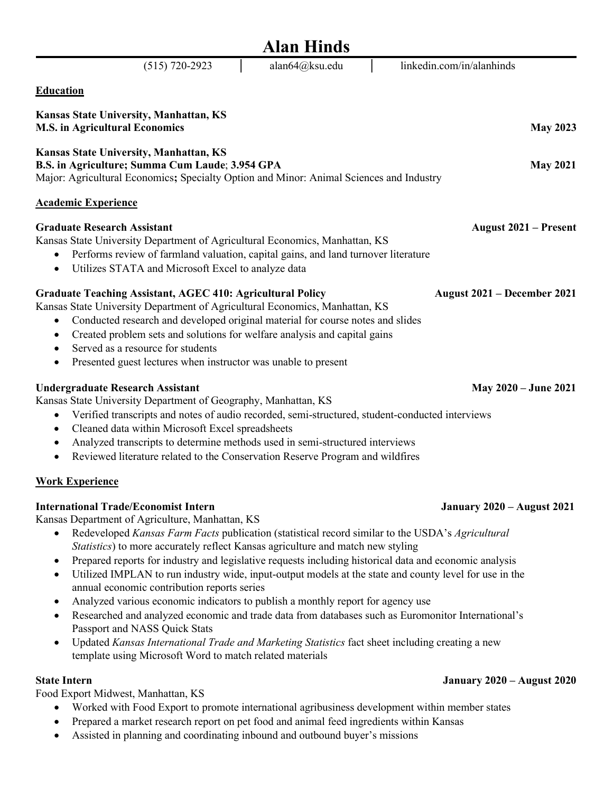| <b>Alan Hinds</b>                                                                                                                                                                                                                                                                                                                                                                                                                                                                                                                                                                                                                                                                                                                                                                                                                                                                                                                                                                                                                                                    |  |  |
|----------------------------------------------------------------------------------------------------------------------------------------------------------------------------------------------------------------------------------------------------------------------------------------------------------------------------------------------------------------------------------------------------------------------------------------------------------------------------------------------------------------------------------------------------------------------------------------------------------------------------------------------------------------------------------------------------------------------------------------------------------------------------------------------------------------------------------------------------------------------------------------------------------------------------------------------------------------------------------------------------------------------------------------------------------------------|--|--|
| alan64@ksu.edu<br>linkedin.com/in/alanhinds<br>$(515)$ 720-2923                                                                                                                                                                                                                                                                                                                                                                                                                                                                                                                                                                                                                                                                                                                                                                                                                                                                                                                                                                                                      |  |  |
| <b>Education</b>                                                                                                                                                                                                                                                                                                                                                                                                                                                                                                                                                                                                                                                                                                                                                                                                                                                                                                                                                                                                                                                     |  |  |
| Kansas State University, Manhattan, KS<br><b>M.S. in Agricultural Economics</b><br><b>May 2023</b>                                                                                                                                                                                                                                                                                                                                                                                                                                                                                                                                                                                                                                                                                                                                                                                                                                                                                                                                                                   |  |  |
| Kansas State University, Manhattan, KS<br>B.S. in Agriculture; Summa Cum Laude; 3.954 GPA<br><b>May 2021</b><br>Major: Agricultural Economics; Specialty Option and Minor: Animal Sciences and Industry                                                                                                                                                                                                                                                                                                                                                                                                                                                                                                                                                                                                                                                                                                                                                                                                                                                              |  |  |
| <b>Academic Experience</b>                                                                                                                                                                                                                                                                                                                                                                                                                                                                                                                                                                                                                                                                                                                                                                                                                                                                                                                                                                                                                                           |  |  |
| <b>Graduate Research Assistant</b><br><b>August 2021 – Present</b><br>Kansas State University Department of Agricultural Economics, Manhattan, KS<br>Performs review of farmland valuation, capital gains, and land turnover literature<br>Utilizes STATA and Microsoft Excel to analyze data<br>$\bullet$                                                                                                                                                                                                                                                                                                                                                                                                                                                                                                                                                                                                                                                                                                                                                           |  |  |
| <b>Graduate Teaching Assistant, AGEC 410: Agricultural Policy</b><br>August 2021 – December 2021<br>Kansas State University Department of Agricultural Economics, Manhattan, KS<br>Conducted research and developed original material for course notes and slides<br>٠<br>Created problem sets and solutions for welfare analysis and capital gains<br>Served as a resource for students<br>$\bullet$<br>Presented guest lectures when instructor was unable to present<br>٠                                                                                                                                                                                                                                                                                                                                                                                                                                                                                                                                                                                         |  |  |
| <b>Undergraduate Research Assistant</b><br>May 2020 – June 2021<br>Kansas State University Department of Geography, Manhattan, KS<br>Verified transcripts and notes of audio recorded, semi-structured, student-conducted interviews<br>٠<br>Cleaned data within Microsoft Excel spreadsheets<br>$\bullet$<br>Analyzed transcripts to determine methods used in semi-structured interviews<br>$\bullet$<br>Reviewed literature related to the Conservation Reserve Program and wildfires<br>$\bullet$                                                                                                                                                                                                                                                                                                                                                                                                                                                                                                                                                                |  |  |
| <b>Work Experience</b>                                                                                                                                                                                                                                                                                                                                                                                                                                                                                                                                                                                                                                                                                                                                                                                                                                                                                                                                                                                                                                               |  |  |
| <b>International Trade/Economist Intern</b><br><b>January 2020 – August 2021</b><br>Kansas Department of Agriculture, Manhattan, KS<br>Redeveloped Kansas Farm Facts publication (statistical record similar to the USDA's Agricultural<br>$\bullet$<br>Statistics) to more accurately reflect Kansas agriculture and match new styling<br>Prepared reports for industry and legislative requests including historical data and economic analysis<br>$\bullet$<br>Utilized IMPLAN to run industry wide, input-output models at the state and county level for use in the<br>$\bullet$<br>annual economic contribution reports series<br>Analyzed various economic indicators to publish a monthly report for agency use<br>$\bullet$<br>Researched and analyzed economic and trade data from databases such as Euromonitor International's<br>$\bullet$<br>Passport and NASS Quick Stats<br>Updated Kansas International Trade and Marketing Statistics fact sheet including creating a new<br>$\bullet$<br>template using Microsoft Word to match related materials |  |  |
| <b>State Intern</b><br><b>January 2020 – August 2020</b><br>Food Export Midwest, Manhattan, KS<br>Worked with Food Export to promote international agribusiness development within member states<br>Prepared a market research report on pet food and animal feed ingredients within Kansas<br>$\bullet$<br>Assisted in planning and coordinating inbound and outbound buyer's missions                                                                                                                                                                                                                                                                                                                                                                                                                                                                                                                                                                                                                                                                              |  |  |